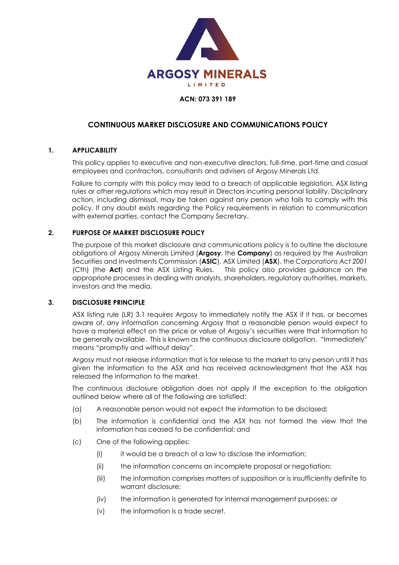

# **ACN: 073 391 189**

# **CONTINUOUS MARKET DISCLOSURE AND COMMUNICATIONS POLICY**

# **1. APPLICABILITY**

This policy applies to executive and non-executive directors, full-time, part-time and casual employees and contractors, consultants and advisers of Argosy Minerals Ltd.

Failure to comply with this policy may lead to a breach of applicable legislation, ASX listing rules or other regulations which may result in Directors incurring personal liability. Disciplinary action, including dismissal, may be taken against any person who fails to comply with this policy. If any doubt exists regarding the Policy requirements in relation to communication with external parties, contact the Company Secretary.

### **2. PURPOSE OF MARKET DISCLOSURE POLICY**

The purpose of this market disclosure and communications policy is to outline the disclosure obligations of Argosy Minerals Limited (**Argosy**, the **Company**) as required by the Australian Securities and Investments Commission (**ASIC**), ASX Limited (**ASX**), the *Corporations Act 2001*  (Cth) (the **Act**) and the ASX Listing Rules. This policy also provides guidance on the appropriate processes in dealing with analysts, shareholders, regulatory authorities, markets, investors and the media.

### **3. DISCLOSURE PRINCIPLE**

ASX listing rule (LR) 3.1 requires Argosy to immediately notify the ASX if it has, or becomes aware of, any information concerning Argosy that a reasonable person would expect to have a material effect on the price or value of Argosy's securities were that information to be generally available. This is known as the continuous disclosure obligation. "Immediately" means "promptly and without delay".

Argosy must not release information that is for release to the market to any person until it has given the information to the ASX and has received acknowledgment that the ASX has released the information to the market.

The continuous disclosure obligation does not apply if the exception to the obligation outlined below where all of the following are satisfied:

- (a) A reasonable person would not expect the information to be disclosed;
- (b) The information is confidential and the ASX has not formed the view that the information has ceased to be confidential; and
- (c) One of the following applies:
	- (i) it would be a breach of a law to disclose the information;
	- (ii) the information concerns an incomplete proposal or negotiation;
	- (iii) the information comprises matters of supposition or is insufficiently definite to warrant disclosure;
	- (iv) the information is generated for internal management purposes; or
	- (v) the information is a trade secret.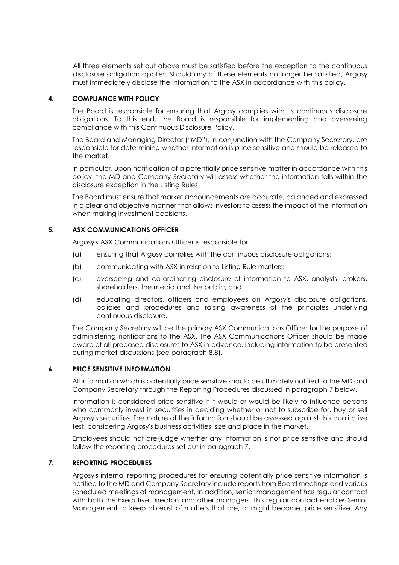All three elements set out above must be satisfied before the exception to the continuous disclosure obligation applies. Should any of these elements no longer be satisfied, Argosy must immediately disclose the information to the ASX in accordance with this policy.

### **4. COMPLIANCE WITH POLICY**

The Board is responsible for ensuring that Argosy complies with its continuous disclosure obligations. To this end, the Board is responsible for implementing and overseeing compliance with this Continuous Disclosure Policy.

The Board and Managing Director ("MD"), in conjunction with the Company Secretary, are responsible for determining whether information is price sensitive and should be released to the market.

In particular, upon notification of a potentially price sensitive matter in accordance with this policy, the MD and Company Secretary will assess whether the information falls within the disclosure exception in the Listing Rules.

The Board must ensure that market announcements are accurate, balanced and expressed in a clear and objective manner that allows investors to assess the impact of the information when making investment decisions.

# **5. ASX COMMUNICATIONS OFFICER**

Argosy's ASX Communications Officer is responsible for:

- (a) ensuring that Argosy complies with the continuous disclosure obligations;
- (b) communicating with ASX in relation to Listing Rule matters;
- (c) overseeing and co-ordinating disclosure of information to ASX, analysts, brokers, shareholders, the media and the public; and
- (d) educating directors, officers and employees on Argosy's disclosure obligations, policies and procedures and raising awareness of the principles underlying continuous disclosure.

The Company Secretary will be the primary ASX Communications Officer for the purpose of administering notifications to the ASX. The ASX Communications Officer should be made aware of all proposed disclosures to ASX in advance, including information to be presented during market discussions (see paragraph 8.8).

### **6. PRICE SENSITIVE INFORMATION**

All information which is potentially price sensitive should be ultimately notified to the MD and Company Secretary through the Reporting Procedures discussed in paragraph 7 below.

Information is considered price sensitive if it would or would be likely to influence persons who commonly invest in securities in deciding whether or not to subscribe for, buy or sell Argosy's securities. The nature of the information should be assessed against this qualitative test, considering Argosy's business activities, size and place in the market.

Employees should not pre-judge whether any information is not price sensitive and should follow the reporting procedures set out in paragraph 7.

# **7. REPORTING PROCEDURES**

Argosy's internal reporting procedures for ensuring potentially price sensitive information is notified to the MD and Company Secretary include reports from Board meetings and various scheduled meetings of management. In addition, senior management has regular contact with both the Executive Directors and other managers. This regular contact enables Senior Management to keep abreast of matters that are, or might become, price sensitive. Any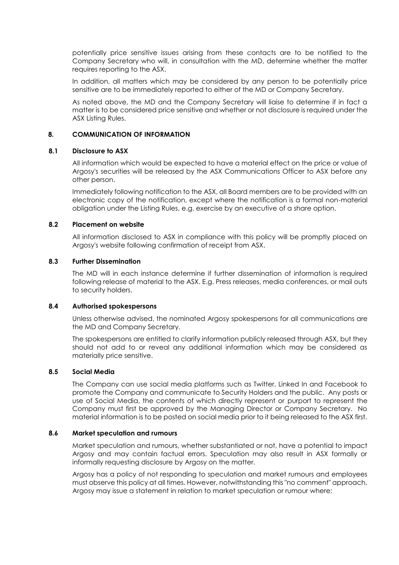potentially price sensitive issues arising from these contacts are to be notified to the Company Secretary who will, in consultation with the MD, determine whether the matter requires reporting to the ASX.

In addition, all matters which may be considered by any person to be potentially price sensitive are to be immediately reported to either of the MD or Company Secretary.

As noted above, the MD and the Company Secretary will liaise to determine if in fact a matter is to be considered price sensitive and whether or not disclosure is required under the ASX Listing Rules.

# **8. COMMUNICATION OF INFORMATION**

#### **8.1 Disclosure to ASX**

All information which would be expected to have a material effect on the price or value of Argosy's securities will be released by the ASX Communications Officer to ASX before any other person.

Immediately following notification to the ASX, all Board members are to be provided with an electronic copy of the notification, except where the notification is a formal non-material obligation under the Listing Rules, e.g. exercise by an executive of a share option.

#### **8.2 Placement on website**

All information disclosed to ASX in compliance with this policy will be promptly placed on Argosy's website following confirmation of receipt from ASX.

# **8.3 Further Dissemination**

The MD will in each instance determine if further dissemination of information is required following release of material to the ASX. E.g. Press releases, media conferences, or mail outs to security holders.

#### **8.4 Authorised spokespersons**

Unless otherwise advised, the nominated Argosy spokespersons for all communications are the MD and Company Secretary.

The spokespersons are entitled to clarify information publicly released through ASX, but they should not add to or reveal any additional information which may be considered as materially price sensitive.

# **8.5 Social Media**

The Company can use social media platforms such as Twitter, Linked In and Facebook to promote the Company and communicate to Security Holders and the public. Any posts or use of Social Media, the contents of which directly represent or purport to represent the Company must first be approved by the Managing Director or Company Secretary. No material information is to be posted on social media prior to it being released to the ASX first.

#### **8.6 Market speculation and rumours**

Market speculation and rumours, whether substantiated or not, have a potential to impact Argosy and may contain factual errors. Speculation may also result in ASX formally or informally requesting disclosure by Argosy on the matter.

Argosy has a policy of not responding to speculation and market rumours and employees must observe this policy at all times. However, notwithstanding this "no comment" approach, Argosy may issue a statement in relation to market speculation or rumour where: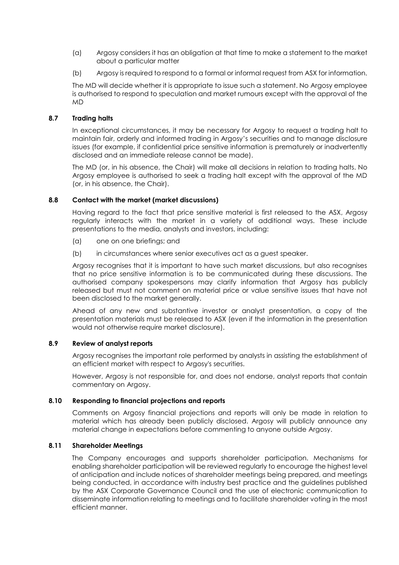- (a) Argosy considers it has an obligation at that time to make a statement to the market about a particular matter
- (b) Argosy is required to respond to a formal or informal request from ASX for information.

The MD will decide whether it is appropriate to issue such a statement. No Argosy employee is authorised to respond to speculation and market rumours except with the approval of the MD

### **8.7 Trading halts**

In exceptional circumstances, it may be necessary for Argosy to request a trading halt to maintain fair, orderly and informed trading in Argosy's securities and to manage disclosure issues (for example, if confidential price sensitive information is prematurely or inadvertently disclosed and an immediate release cannot be made).

The MD (or, in his absence, the Chair) will make all decisions in relation to trading halts. No Argosy employee is authorised to seek a trading halt except with the approval of the MD (or, in his absence, the Chair).

# **8.8 Contact with the market (market discussions)**

Having regard to the fact that price sensitive material is first released to the ASX, Argosy regularly interacts with the market in a variety of additional ways. These include presentations to the media, analysts and investors, including:

- (a) one on one briefings; and
- (b) in circumstances where senior executives act as a guest speaker.

Argosy recognises that it is important to have such market discussions, but also recognises that no price sensitive information is to be communicated during these discussions. The authorised company spokespersons may clarify information that Argosy has publicly released but must not comment on material price or value sensitive issues that have not been disclosed to the market generally.

Ahead of any new and substantive investor or analyst presentation, a copy of the presentation materials must be released to ASX (even if the information in the presentation would not otherwise require market disclosure).

# **8.9 Review of analyst reports**

Argosy recognises the important role performed by analysts in assisting the establishment of an efficient market with respect to Argosy's securities.

However, Argosy is not responsible for, and does not endorse, analyst reports that contain commentary on Argosy.

### **8.10 Responding to financial projections and reports**

Comments on Argosy financial projections and reports will only be made in relation to material which has already been publicly disclosed. Argosy will publicly announce any material change in expectations before commenting to anyone outside Argosy.

# **8.11 Shareholder Meetings**

The Company encourages and supports shareholder participation. Mechanisms for enabling shareholder participation will be reviewed regularly to encourage the highest level of anticipation and include notices of shareholder meetings being prepared, and meetings being conducted, in accordance with industry best practice and the guidelines published by the ASX Corporate Governance Council and the use of electronic communication to disseminate information relating to meetings and to facilitate shareholder voting in the most efficient manner.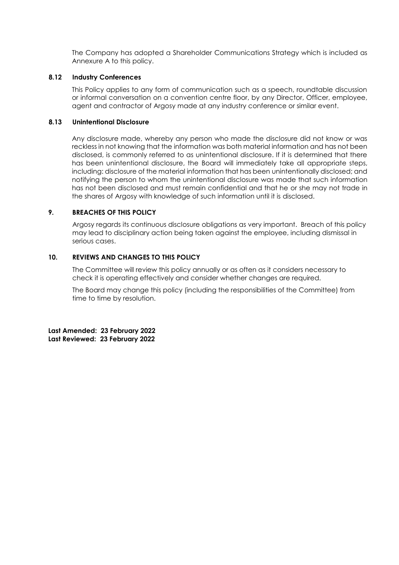The Company has adopted a Shareholder Communications Strategy which is included as Annexure A to this policy.

#### **8.12 Industry Conferences**

This Policy applies to any form of communication such as a speech, roundtable discussion or informal conversation on a convention centre floor, by any Director, Officer, employee, agent and contractor of Argosy made at any industry conference or similar event.

#### **8.13 Unintentional Disclosure**

Any disclosure made, whereby any person who made the disclosure did not know or was reckless in not knowing that the information was both material information and has not been disclosed, is commonly referred to as unintentional disclosure. If it is determined that there has been unintentional disclosure, the Board will immediately take all appropriate steps, including: disclosure of the material information that has been unintentionally disclosed; and notifying the person to whom the unintentional disclosure was made that such information has not been disclosed and must remain confidential and that he or she may not trade in the shares of Argosy with knowledge of such information until it is disclosed.

#### **9. BREACHES OF THIS POLICY**

Argosy regards its continuous disclosure obligations as very important. Breach of this policy may lead to disciplinary action being taken against the employee, including dismissal in serious cases.

### **10. REVIEWS AND CHANGES TO THIS POLICY**

The Committee will review this policy annually or as often as it considers necessary to check it is operating effectively and consider whether changes are required.

The Board may change this policy (including the responsibilities of the Committee) from time to time by resolution.

**Last Amended: 23 February 2022 Last Reviewed: 23 February 2022**